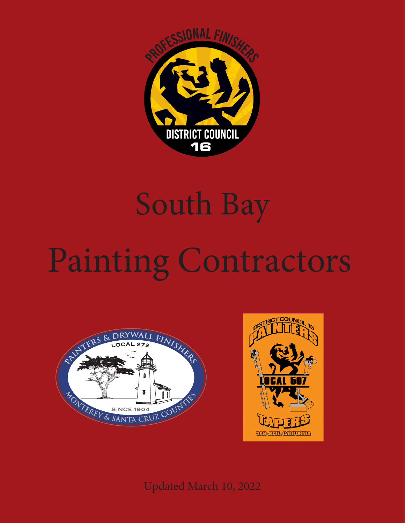

## South Bay

## Painting Contractors





Updated March 10, 2022